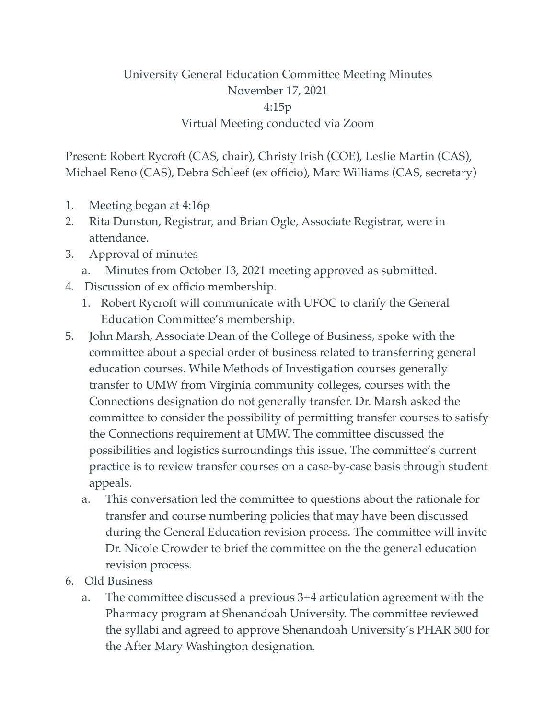## University General Education Committee Meeting Minutes November 17, 2021 4:15p Virtual Meeting conducted via Zoom

Present: Robert Rycroft (CAS, chair), Christy Irish (COE), Leslie Martin (CAS), Michael Reno (CAS), Debra Schleef (ex officio), Marc Williams (CAS, secretary)

- 1. Meeting began at 4:16p
- 2. Rita Dunston, Registrar, and Brian Ogle, Associate Registrar, were in attendance.
- 3. Approval of minutes
	- a. Minutes from October 13, 2021 meeting approved as submitted.
- 4. Discussion of ex officio membership.
	- 1. Robert Rycroft will communicate with UFOC to clarify the General Education Committee's membership.
- 5. John Marsh, Associate Dean of the College of Business, spoke with the committee about a special order of business related to transferring general education courses. While Methods of Investigation courses generally transfer to UMW from Virginia community colleges, courses with the Connections designation do not generally transfer. Dr. Marsh asked the committee to consider the possibility of permitting transfer courses to satisfy the Connections requirement at UMW. The committee discussed the possibilities and logistics surroundings this issue. The committee's current practice is to review transfer courses on a case-by-case basis through student appeals.
	- a. This conversation led the committee to questions about the rationale for transfer and course numbering policies that may have been discussed during the General Education revision process. The committee will invite Dr. Nicole Crowder to brief the committee on the the general education revision process.
- 6. Old Business
	- a. The committee discussed a previous 3+4 articulation agreement with the Pharmacy program at Shenandoah University. The committee reviewed the syllabi and agreed to approve Shenandoah University's PHAR 500 for the After Mary Washington designation.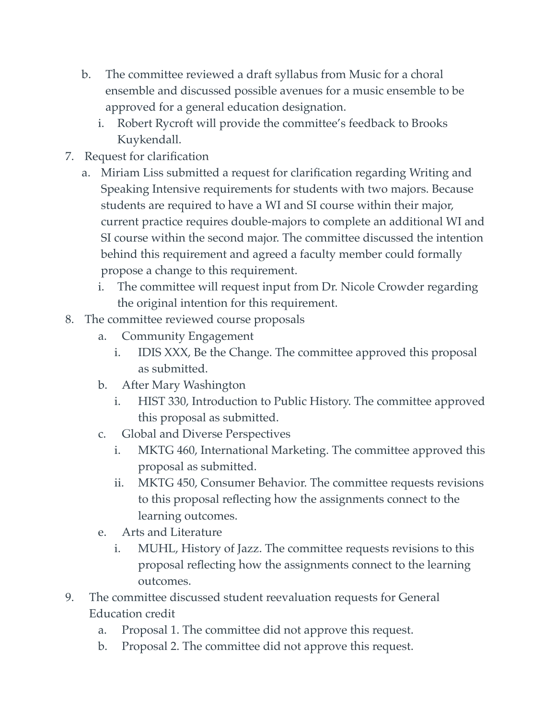- b. The committee reviewed a draft syllabus from Music for a choral ensemble and discussed possible avenues for a music ensemble to be approved for a general education designation.
	- i. Robert Rycroft will provide the committee's feedback to Brooks Kuykendall.
- 7. Request for clarification
	- a. Miriam Liss submitted a request for clarification regarding Writing and Speaking Intensive requirements for students with two majors. Because students are required to have a WI and SI course within their major, current practice requires double-majors to complete an additional WI and SI course within the second major. The committee discussed the intention behind this requirement and agreed a faculty member could formally propose a change to this requirement.
		- i. The committee will request input from Dr. Nicole Crowder regarding the original intention for this requirement.
- 8. The committee reviewed course proposals
	- a. Community Engagement
		- i. IDIS XXX, Be the Change. The committee approved this proposal as submitted.
	- b. After Mary Washington
		- i. HIST 330, Introduction to Public History. The committee approved this proposal as submitted.
	- c. Global and Diverse Perspectives
		- i. MKTG 460, International Marketing. The committee approved this proposal as submitted.
		- ii. MKTG 450, Consumer Behavior. The committee requests revisions to this proposal reflecting how the assignments connect to the learning outcomes.
	- e. Arts and Literature
		- i. MUHL, History of Jazz. The committee requests revisions to this proposal reflecting how the assignments connect to the learning outcomes.
- 9. The committee discussed student reevaluation requests for General Education credit
	- a. Proposal 1. The committee did not approve this request.
	- b. Proposal 2. The committee did not approve this request.